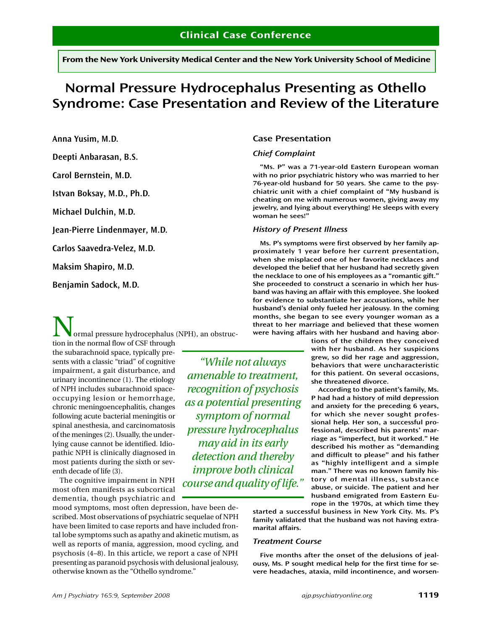**From the New York University Medical Center and the New York University School of Medicine**

# **Normal Pressure Hydrocephalus Presenting as Othello Syndrome: Case Presentation and Review of the Literature**

**Anna Yusim, M.D.**

**Deepti Anbarasan, B.S.**

**Carol Bernstein, M.D.**

**Istvan Boksay, M.D., Ph.D.**

**Michael Dulchin, M.D.**

**Jean-Pierre Lindenmayer, M.D.**

**Carlos Saavedra-Velez, M.D.**

**Maksim Shapiro, M.D.**

**Benjamin Sadock, M.D.**

## **Case Presentation**

## *Chief Complaint*

**"Ms. P" was a 71-year-old Eastern European woman with no prior psychiatric history who was married to her 76-year-old husband for 50 years. She came to the psychiatric unit with a chief complaint of "My husband is cheating on me with numerous women, giving away my jewelry, and lying about everything! He sleeps with every woman he sees!"**

#### *History of Present Illness*

**Ms. P's symptoms were first observed by her family approximately 1 year before her current presentation, when she misplaced one of her favorite necklaces and developed the belief that her husband had secretly given the necklace to one of his employees as a "romantic gift." She proceeded to construct a scenario in which her husband was having an affair with this employee. She looked for evidence to substantiate her accusations, while her husband's denial only fueled her jealousy. In the coming months, she began to see every younger woman as a threat to her marriage and believed that these women were having affairs with her husband and having abor-**

**tions of the children they conceived with her husband. As her suspicions grew, so did her rage and aggression, behaviors that were uncharacteristic for this patient. On several occasions, she threatened divorce.**

**According to the patient's family, Ms. P had had a history of mild depression and anxiety for the preceding 6 years, for which she never sought professional help. Her son, a successful professional, described his parents' marriage as "imperfect, but it worked." He described his mother as "demanding and difficult to please" and his father as "highly intelligent and a simple man." There was no known family history of mental illness, substance abuse, or suicide. The patient and her husband emigrated from Eastern Europe in the 1970s, at which time they**

ormal pressure hydrocephalus (NPH), an obstruc-

tion in the normal flow of CSF through the subarachnoid space, typically presents with a classic "triad" of cognitive impairment, a gait disturbance, and urinary incontinence (1). The etiology of NPH includes subarachnoid spaceoccupying lesion or hemorrhage, chronic meningoencephalitis, changes following acute bacterial meningitis or spinal anesthesia, and carcinomatosis of the meninges (2). Usually, the underlying cause cannot be identified. Idiopathic NPH is clinically diagnosed in most patients during the sixth or seventh decade of life (3).

The cognitive impairment in NPH most often manifests as subcortical dementia, though psychiatric and

mood symptoms, most often depression, have been described. Most observations of psychiatric sequelae of NPH have been limited to case reports and have included frontal lobe symptoms such as apathy and akinetic mutism, as well as reports of mania, aggression, mood cycling, and psychosis (4–8). In this article, we report a case of NPH presenting as paranoid psychosis with delusional jealousy, otherwise known as the "Othello syndrome."

*"While not always amenable to treatment, recognition of psychosis as a potential presenting symptom of normal pressure hydrocephalus may aid in its early detection and thereby improve both clinical course and quality of life."*

> **started a successful business in New York City. Ms. P's family validated that the husband was not having extramarital affairs.**

## *Treatment Course*

**Five months after the onset of the delusions of jealousy, Ms. P sought medical help for the first time for severe headaches, ataxia, mild incontinence, and worsen-**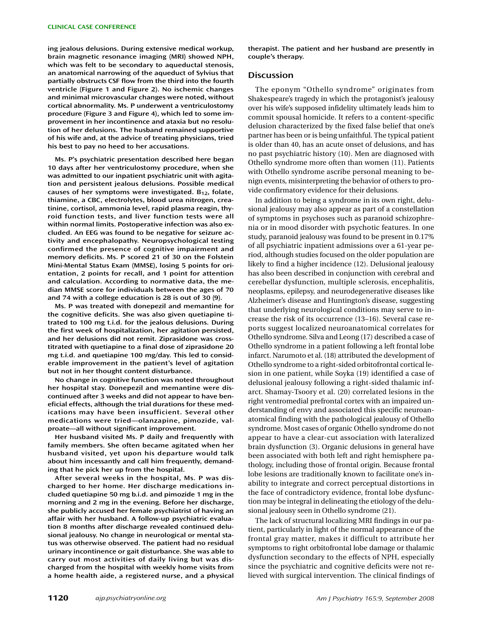**ing jealous delusions. During extensive medical workup, brain magnetic resonance imaging (MRI) showed NPH, which was felt to be secondary to aqueductal stenosis, an anatomical narrowing of the aqueduct of Sylvius that partially obstructs CSF flow from the third into the fourth ventricle (Figure 1 and Figure 2). No ischemic changes and minimal microvascular changes were noted, without cortical abnormality. Ms. P underwent a ventriculostomy procedure (Figure 3 and Figure 4), which led to some improvement in her incontinence and ataxia but no resolution of her delusions. The husband remained supportive of his wife and, at the advice of treating physicians, tried his best to pay no heed to her accusations.**

**Ms. P's psychiatric presentation described here began 10 days after her ventriculostomy procedure, when she was admitted to our inpatient psychiatric unit with agitation and persistent jealous delusions. Possible medical** causes of her symptoms were investigated. B<sub>12</sub>, folate, **thiamine, a CBC, electrolytes, blood urea nitrogen, creatinine, cortisol, ammonia level, rapid plasma reagin, thyroid function tests, and liver function tests were all within normal limits. Postoperative infection was also excluded. An EEG was found to be negative for seizure activity and encephalopathy. Neuropsychological testing confirmed the presence of cognitive impairment and memory deficits. Ms. P scored 21 of 30 on the Folstein Mini-Mental Status Exam (MMSE), losing 5 points for orientation, 2 points for recall, and 1 point for attention and calculation. According to normative data, the median MMSE score for individuals between the ages of 70 and 74 with a college education is 28 is out of 30 (9).**

**Ms. P was treated with donepezil and memantine for the cognitive deficits. She was also given quetiapine titrated to 100 mg t.i.d. for the jealous delusions. During the first week of hospitalization, her agitation persisted, and her delusions did not remit. Ziprasidone was crosstitrated with quetiapine to a final dose of ziprasidone 20 mg t.i.d. and quetiapine 100 mg/day. This led to considerable improvement in the patient's level of agitation but not in her thought content disturbance.**

**No change in cognitive function was noted throughout her hospital stay. Donepezil and memantine were discontinued after 3 weeks and did not appear to have beneficial effects, although the trial durations for these medications may have been insufficient. Several other medications were tried—olanzapine, pimozide, valproate—all without significant improvement.**

**Her husband visited Ms. P daily and frequently with family members. She often became agitated when her husband visited, yet upon his departure would talk about him incessantly and call him frequently, demanding that he pick her up from the hospital.**

**After several weeks in the hospital, Ms. P was discharged to her home. Her discharge medications included quetiapine 50 mg b.i.d. and pimozide 1 mg in the morning and 2 mg in the evening. Before her discharge, she publicly accused her female psychiatrist of having an affair with her husband. A follow-up psychiatric evaluation 8 months after discharge revealed continued delusional jealousy. No change in neurological or mental status was otherwise observed. The patient had no residual urinary incontinence or gait disturbance. She was able to carry out most activities of daily living but was discharged from the hospital with weekly home visits from a home health aide, a registered nurse, and a physical** **therapist. The patient and her husband are presently in couple's therapy.**

### **Discussion**

The eponym "Othello syndrome" originates from Shakespeare's tragedy in which the protagonist's jealousy over his wife's supposed infidelity ultimately leads him to commit spousal homicide. It refers to a content-specific delusion characterized by the fixed false belief that one's partner has been or is being unfaithful. The typical patient is older than 40, has an acute onset of delusions, and has no past psychiatric history (10). Men are diagnosed with Othello syndrome more often than women (11). Patients with Othello syndrome ascribe personal meaning to benign events, misinterpreting the behavior of others to provide confirmatory evidence for their delusions.

In addition to being a syndrome in its own right, delusional jealousy may also appear as part of a constellation of symptoms in psychoses such as paranoid schizophrenia or in mood disorder with psychotic features. In one study, paranoid jealousy was found to be present in 0.17% of all psychiatric inpatient admissions over a 61-year period, although studies focused on the older population are likely to find a higher incidence (12). Delusional jealousy has also been described in conjunction with cerebral and cerebellar dysfunction, multiple sclerosis, encephalitis, neoplasms, epilepsy, and neurodegenerative diseases like Alzheimer's disease and Huntington's disease, suggesting that underlying neurological conditions may serve to increase the risk of its occurrence (13–16). Several case reports suggest localized neuroanatomical correlates for Othello syndrome. Silva and Leong (17) described a case of Othello syndrome in a patient following a left frontal lobe infarct. Narumoto et al. (18) attributed the development of Othello syndrome to a right-sided orbitofrontal cortical lesion in one patient, while Soyka (19) identified a case of delusional jealousy following a right-sided thalamic infarct. Shamay-Tsoory et al. (20) correlated lesions in the right ventromedial prefrontal cortex with an impaired understanding of envy and associated this specific neuroanatomical finding with the pathological jealousy of Othello syndrome. Most cases of organic Othello syndrome do not appear to have a clear-cut association with lateralized brain dysfunction (3). Organic delusions in general have been associated with both left and right hemisphere pathology, including those of frontal origin. Because frontal lobe lesions are traditionally known to facilitate one's inability to integrate and correct perceptual distortions in the face of contradictory evidence, frontal lobe dysfunction may be integral in delineating the etiology of the delusional jealousy seen in Othello syndrome (21).

The lack of structural localizing MRI findings in our patient, particularly in light of the normal appearance of the frontal gray matter, makes it difficult to attribute her symptoms to right orbitofrontal lobe damage or thalamic dysfunction secondary to the effects of NPH, especially since the psychiatric and cognitive deficits were not relieved with surgical intervention. The clinical findings of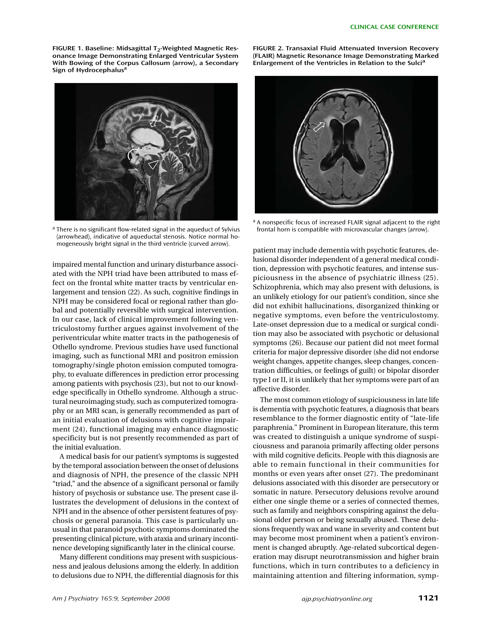FIGURE 1. Baseline: Midsagittal T<sub>2</sub>-Weighted Magnetic Res**onance Image Demonstrating Enlarged Ventricular System With Bowing of the Corpus Callosum (arrow), a Secondary Sign of Hydrocephalus<sup>a</sup>**



<sup>a</sup> There is no significant flow-related signal in the aqueduct of Sylvius (arrowhead), indicative of aqueductal stenosis. Notice normal homogeneously bright signal in the third ventricle (curved arrow).

impaired mental function and urinary disturbance associated with the NPH triad have been attributed to mass effect on the frontal white matter tracts by ventricular enlargement and tension (22). As such, cognitive findings in NPH may be considered focal or regional rather than global and potentially reversible with surgical intervention. In our case, lack of clinical improvement following ventriculostomy further argues against involvement of the periventricular white matter tracts in the pathogenesis of Othello syndrome. Previous studies have used functional imaging, such as functional MRI and positron emission tomography/single photon emission computed tomography, to evaluate differences in prediction error processing among patients with psychosis (23), but not to our knowledge specifically in Othello syndrome. Although a structural neuroimaging study, such as computerized tomography or an MRI scan, is generally recommended as part of an initial evaluation of delusions with cognitive impairment (24), functional imaging may enhance diagnostic specificity but is not presently recommended as part of the initial evaluation.

A medical basis for our patient's symptoms is suggested by the temporal association between the onset of delusions and diagnosis of NPH, the presence of the classic NPH "triad," and the absence of a significant personal or family history of psychosis or substance use. The present case illustrates the development of delusions in the context of NPH and in the absence of other persistent features of psychosis or general paranoia. This case is particularly unusual in that paranoid psychotic symptoms dominated the presenting clinical picture, with ataxia and urinary incontinence developing significantly later in the clinical course.

Many different conditions may present with suspiciousness and jealous delusions among the elderly. In addition to delusions due to NPH, the differential diagnosis for this **FIGURE 2. Transaxial Fluid Attenuated Inversion Recovery (FLAIR) Magnetic Resonance Image Demonstrating Marked Enlargement of the Ventricles in Relation to the Sulci<sup>a</sup>**



<sup>a</sup> A nonspecific focus of increased FLAIR signal adjacent to the right frontal horn is compatible with microvascular changes (arrow).

patient may include dementia with psychotic features, delusional disorder independent of a general medical condition, depression with psychotic features, and intense suspiciousness in the absence of psychiatric illness (25). Schizophrenia, which may also present with delusions, is an unlikely etiology for our patient's condition, since she did not exhibit hallucinations, disorganized thinking or negative symptoms, even before the ventriculostomy. Late-onset depression due to a medical or surgical condition may also be associated with psychotic or delusional symptoms (26). Because our patient did not meet formal criteria for major depressive disorder (she did not endorse weight changes, appetite changes, sleep changes, concentration difficulties, or feelings of guilt) or bipolar disorder type I or II, it is unlikely that her symptoms were part of an affective disorder.

The most common etiology of suspiciousness in late life is dementia with psychotic features, a diagnosis that bears resemblance to the former diagnostic entity of "late-life paraphrenia." Prominent in European literature, this term was created to distinguish a unique syndrome of suspiciousness and paranoia primarily affecting older persons with mild cognitive deficits. People with this diagnosis are able to remain functional in their communities for months or even years after onset (27). The predominant delusions associated with this disorder are persecutory or somatic in nature. Persecutory delusions revolve around either one single theme or a series of connected themes, such as family and neighbors conspiring against the delusional older person or being sexually abused. These delusions frequently wax and wane in severity and content but may become most prominent when a patient's environment is changed abruptly. Age-related subcortical degeneration may disrupt neurotransmission and higher brain functions, which in turn contributes to a deficiency in maintaining attention and filtering information, symp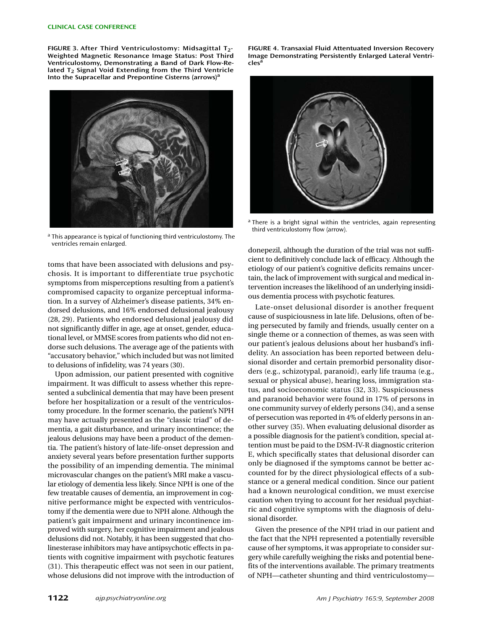**FIGURE 3. After Third Ventriculostomy: Midsagittal T2- Weighted Magnetic Resonance Image Status: Post Third Ventriculostomy, Demonstrating a Band of Dark Flow-Re**lated T<sub>2</sub> Signal Void Extending from the Third Ventricle **Into the Supracellar and Prepontine Cisterns (arrows)<sup>a</sup>**



<sup>a</sup> This appearance is typical of functioning third ventriculostomy. The ventricles remain enlarged.

toms that have been associated with delusions and psychosis. It is important to differentiate true psychotic symptoms from misperceptions resulting from a patient's compromised capacity to organize perceptual information. In a survey of Alzheimer's disease patients, 34% endorsed delusions, and 16% endorsed delusional jealousy (28, 29). Patients who endorsed delusional jealousy did not significantly differ in age, age at onset, gender, educational level, or MMSE scores from patients who did not endorse such delusions. The average age of the patients with "accusatory behavior," which included but was not limited to delusions of infidelity, was 74 years (30).

Upon admission, our patient presented with cognitive impairment. It was difficult to assess whether this represented a subclinical dementia that may have been present before her hospitalization or a result of the ventriculostomy procedure. In the former scenario, the patient's NPH may have actually presented as the "classic triad" of dementia, a gait disturbance, and urinary incontinence; the jealous delusions may have been a product of the dementia. The patient's history of late-life-onset depression and anxiety several years before presentation further supports the possibility of an impending dementia. The minimal microvascular changes on the patient's MRI make a vascular etiology of dementia less likely. Since NPH is one of the few treatable causes of dementia, an improvement in cognitive performance might be expected with ventriculostomy if the dementia were due to NPH alone. Although the patient's gait impairment and urinary incontinence improved with surgery, her cognitive impairment and jealous delusions did not. Notably, it has been suggested that cholinesterase inhibitors may have antipsychotic effects in patients with cognitive impairment with psychotic features (31). This therapeutic effect was not seen in our patient, whose delusions did not improve with the introduction of

**FIGURE 4. Transaxial Fluid Attentuated Inversion Recovery Image Demonstrating Persistently Enlarged Lateral Ventriclesa**



<sup>a</sup> There is a bright signal within the ventricles, again representing third ventriculostomy flow (arrow).

donepezil, although the duration of the trial was not sufficient to definitively conclude lack of efficacy. Although the etiology of our patient's cognitive deficits remains uncertain, the lack of improvement with surgical and medical intervention increases the likelihood of an underlying insidious dementia process with psychotic features.

Late-onset delusional disorder is another frequent cause of suspiciousness in late life. Delusions, often of being persecuted by family and friends, usually center on a single theme or a connection of themes, as was seen with our patient's jealous delusions about her husband's infidelity. An association has been reported between delusional disorder and certain premorbid personality disorders (e.g., schizotypal, paranoid), early life trauma (e.g., sexual or physical abuse), hearing loss, immigration status, and socioeconomic status (32, 33). Suspiciousness and paranoid behavior were found in 17% of persons in one community survey of elderly persons (34), and a sense of persecution was reported in 4% of elderly persons in another survey (35). When evaluating delusional disorder as a possible diagnosis for the patient's condition, special attention must be paid to the DSM-IV-R diagnostic criterion E, which specifically states that delusional disorder can only be diagnosed if the symptoms cannot be better accounted for by the direct physiological effects of a substance or a general medical condition. Since our patient had a known neurological condition, we must exercise caution when trying to account for her residual psychiatric and cognitive symptoms with the diagnosis of delusional disorder.

Given the presence of the NPH triad in our patient and the fact that the NPH represented a potentially reversible cause of her symptoms, it was appropriate to consider surgery while carefully weighing the risks and potential benefits of the interventions available. The primary treatments of NPH—catheter shunting and third ventriculostomy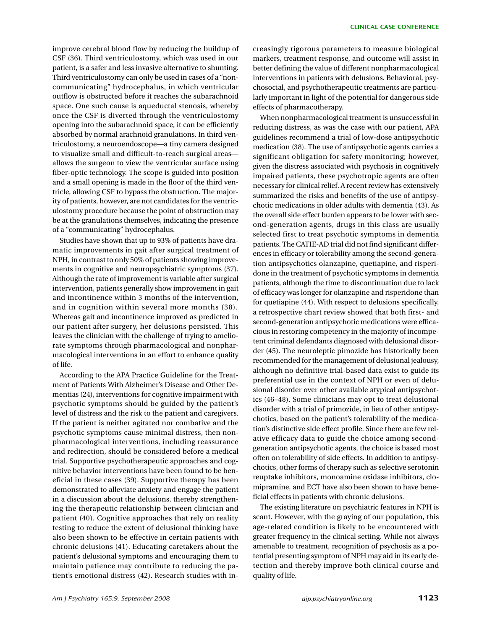improve cerebral blood flow by reducing the buildup of CSF (36). Third ventriculostomy, which was used in our patient, is a safer and less invasive alternative to shunting. Third ventriculostomy can only be used in cases of a "noncommunicating" hydrocephalus, in which ventricular outflow is obstructed before it reaches the subarachnoid space. One such cause is aqueductal stenosis, whereby once the CSF is diverted through the ventriculostomy opening into the subarachnoid space, it can be efficiently absorbed by normal arachnoid granulations. In third ventriculostomy, a neuroendoscope—a tiny camera designed to visualize small and difficult-to-reach surgical areas allows the surgeon to view the ventricular surface using fiber-optic technology. The scope is guided into position and a small opening is made in the floor of the third ventricle, allowing CSF to bypass the obstruction. The majority of patients, however, are not candidates for the ventriculostomy procedure because the point of obstruction may be at the granulations themselves, indicating the presence of a "communicating" hydrocephalus.

Studies have shown that up to 93% of patients have dramatic improvements in gait after surgical treatment of NPH, in contrast to only 50% of patients showing improvements in cognitive and neuropsychiatric symptoms (37). Although the rate of improvement is variable after surgical intervention, patients generally show improvement in gait and incontinence within 3 months of the intervention, and in cognition within several more months (38). Whereas gait and incontinence improved as predicted in our patient after surgery, her delusions persisted. This leaves the clinician with the challenge of trying to ameliorate symptoms through pharmacological and nonpharmacological interventions in an effort to enhance quality of life.

According to the APA Practice Guideline for the Treatment of Patients With Alzheimer's Disease and Other Dementias (24), interventions for cognitive impairment with psychotic symptoms should be guided by the patient's level of distress and the risk to the patient and caregivers. If the patient is neither agitated nor combative and the psychotic symptoms cause minimal distress, then nonpharmacological interventions, including reassurance and redirection, should be considered before a medical trial. Supportive psychotherapeutic approaches and cognitive behavior interventions have been found to be beneficial in these cases (39). Supportive therapy has been demonstrated to alleviate anxiety and engage the patient in a discussion about the delusions, thereby strengthening the therapeutic relationship between clinician and patient (40). Cognitive approaches that rely on reality testing to reduce the extent of delusional thinking have also been shown to be effective in certain patients with chronic delusions (41). Educating caretakers about the patient's delusional symptoms and encouraging them to maintain patience may contribute to reducing the patient's emotional distress (42). Research studies with increasingly rigorous parameters to measure biological markers, treatment response, and outcome will assist in better defining the value of different nonpharmacological interventions in patients with delusions. Behavioral, psychosocial, and psychotherapeutic treatments are particularly important in light of the potential for dangerous side effects of pharmacotherapy.

When nonpharmacological treatment is unsuccessful in reducing distress, as was the case with our patient, APA guidelines recommend a trial of low-dose antipsychotic medication (38). The use of antipsychotic agents carries a significant obligation for safety monitoring; however, given the distress associated with psychosis in cognitively impaired patients, these psychotropic agents are often necessary for clinical relief. A recent review has extensively summarized the risks and benefits of the use of antipsychotic medications in older adults with dementia (43). As the overall side effect burden appears to be lower with second-generation agents, drugs in this class are usually selected first to treat psychotic symptoms in dementia patients. The CATIE-AD trial did not find significant differences in efficacy or tolerability among the second-generation antipsychotics olanzapine, quetiapine, and risperidone in the treatment of psychotic symptoms in dementia patients, although the time to discontinuation due to lack of efficacy was longer for olanzapine and risperidone than for quetiapine (44). With respect to delusions specifically, a retrospective chart review showed that both first- and second-generation antipsychotic medications were efficacious in restoring competency in the majority of incompetent criminal defendants diagnosed with delusional disorder (45). The neuroleptic pimozide has historically been recommended for the management of delusional jealousy, although no definitive trial-based data exist to guide its preferential use in the context of NPH or even of delusional disorder over other available atypical antipsychotics (46–48). Some clinicians may opt to treat delusional disorder with a trial of primozide, in lieu of other antipsychotics, based on the patient's tolerability of the medication's distinctive side effect profile. Since there are few relative efficacy data to guide the choice among secondgeneration antipsychotic agents, the choice is based most often on tolerability of side effects. In addition to antipsychotics, other forms of therapy such as selective serotonin reuptake inhibitors, monoamine oxidase inhibitors, clomipramine, and ECT have also been shown to have beneficial effects in patients with chronic delusions.

The existing literature on psychiatric features in NPH is scant. However, with the graying of our population, this age-related condition is likely to be encountered with greater frequency in the clinical setting. While not always amenable to treatment, recognition of psychosis as a potential presenting symptom of NPH may aid in its early detection and thereby improve both clinical course and quality of life.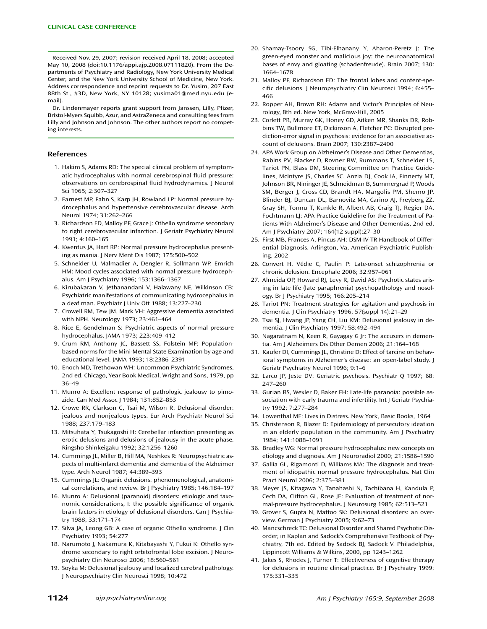Received Nov. 29, 2007; revision received April 18, 2008; accepted May 10, 2008 (doi:10.1176/appi.ajp.2008.07111820). From the Departments of Psychiatry and Radiology, New York University Medical Center, and the New York University School of Medicine, New York. Address correspondence and reprint requests to Dr. Yusim, 207 East 88th St., #3D, New York, NY 10128; yusima01@med.nyu.edu (email).

Dr. Lindenmayer reports grant support from Janssen, Lilly, Pfizer, Bristol-Myers Squibb, Azur, and AstraZeneca and consulting fees from Lilly and Johnson and Johnson. The other authors report no competing interests.

#### **References**

- 1. Hakim S, Adams RD: The special clinical problem of symptomatic hydrocephalus with normal cerebrospinal fluid pressure: observations on cerebrospinal fluid hydrodynamics. J Neurol Sci 1965; 2:307–327
- 2. Earnest MP, Fahn S, Karp JH, Rowland LP: Normal pressure hydrocephalus and hypertensive cerebrovascular disease. Arch Neurol 1974; 31:262–266
- 3. Richardson ED, Malloy PF, Grace J: Othello syndrome secondary to right cerebrovascular infarction. J Geriatr Psychiatry Neurol 1991; 4:160–165
- 4. Kwentus JA, Hart RP: Normal pressure hydrocephalus presenting as mania. J Nerv Ment Dis 1987; 175:500–502
- 5. Schneider U, Malmadier A, Dengler R, Sollmann WP, Emrich HM: Mood cycles associated with normal pressure hydrocephalus. Am J Psychiatry 1996; 153:1366–1367
- 6. Kirubakaran V, Jethanandani V, Halawany NE, Wilkinson CB: Psychiatric manifestations of communicating hydrocephalus in a deaf man. Psychiatr J Univ Ott 1988; 13:227–230
- 7. Crowell RM, Tew JM, Mark VH: Aggressive dementia associated with NPH. Neurology 1973; 23:461–464
- 8. Rice E, Gendelman S: Psychiatric aspects of normal pressure hydrocephalus. JAMA 1973; 223:409–412
- 9. Crum RM, Anthony JC, Bassett SS, Folstein MF: Populationbased norms for the Mini-Mental State Examination by age and educational level. JAMA 1993; 18:2386–2391
- 10. Enoch MD, Trethowan WH: Uncommon Psychiatric Syndromes, 2nd ed. Chicago, Year Book Medical, Wright and Sons, 1979, pp 36–49
- 11. Munro A: Excellent response of pathologic jealousy to pimozide. Can Med Assoc J 1984; 131:852–853
- 12. Crowe RR, Clarkson C, Tsai M, Wilson R: Delusional disorder: jealous and nonjealous types. Eur Arch Psychiatr Neurol Sci 1988; 237:179–183
- 13. Mitsuhata Y, Tsukagoshi H: Cerebellar infarction presenting as erotic delusions and delusions of jealousy in the acute phase. Ringsho Shinkeigaku 1992; 32:1256–1260
- 14. Cummings JL, Miller B, Hill MA, Neshkes R: Neuropsychiatric aspects of multi-infarct dementia and dementia of the Alzheimer type. Arch Neurol 1987; 44:389–393
- 15. Cummings JL: Organic delusions: phenomenological, anatomical correlations, and review. Br J Psychiatry 1985; 146:184–197
- 16. Munro A: Delusional (paranoid) disorders: etiologic and taxonomic considerations, I: the possible significance of organic brain factors in etiology of delusional disorders. Can J Psychiatry 1988; 33:171–174
- 17. Silva JA, Leong GB: A case of organic Othello syndrome. J Clin Psychiatry 1993; 54:277
- 18. Narumoto J, Nakamura K, Kitabayashi Y, Fukui K: Othello syndrome secondary to right orbitofrontal lobe excision. J Neuropsychiatry Clin Neurosci 2006; 18:560–561
- 19. Soyka M: Delusional jealousy and localized cerebral pathology. J Neuropsychiatry Clin Neurosci 1998; 10:472
- 20. Shamay-Tsoory SG, Tibi-Elhanany Y, Aharon-Peretz J: The green-eyed monster and malicious joy: the neuroanatomical bases of envy and gloating (schadenfreude). Brain 2007; 130: 1664–1678
- 21. Malloy PF, Richardson ED: The frontal lobes and content-specific delusions. J Neuropsychiatry Clin Neurosci 1994; 6:455– 466
- 22. Ropper AH, Brown RH: Adams and Victor's Principles of Neurology, 8th ed. New York, McGraw-Hill, 2005
- 23. Corlett PR, Murray GK, Honey GD, Aitken MR, Shanks DR, Robbins TW, Bullmore ET, Dickinson A, Fletcher PC: Disrupted prediction-error signal in psychosis: evidence for an associative account of delusions. Brain 2007; 130:2387–2400
- 24. APA Work Group on Alzheimer's Disease and Other Dementias, Rabins PV, Blacker D, Rovner BW, Rummans T, Schneider LS, Tariot PN, Blass DM, Steering Committee on Practice Guidelines, McIntyre JS, Charles SC, Anzia DJ, Cook IA, Finnerty MT, Johnson BR, Nininger JE, Schneidman B, Summergrad P, Woods SM, Berger J, Cross CD, Brandt HA, Margolis PM, Shemo JP, Blinder BJ, Duncan DL, Barnovitz MA, Carino AJ, Freyberg ZZ, Gray SH, Tonnu T, Kunkle R, Albert AB, Craig TJ, Regier DA, Fochtmann LJ: APA Practice Guideline for the Treatment of Patients With Alzheimer's Disease and Other Dementias, 2nd ed. Am J Psychiatry 2007; 164(12 suppl):27–30
- 25. First MB, Frances A, Pincus AH: DSM-IV-TR Handbook of Differential Diagnosis. Arlington, Va, American Psychiatric Publishing, 2002
- 26. Convert H, Védie C, Paulin P: Late-onset schizophrenia or chronic delusion. Encephale 2006; 32:957–961
- 27. Almeida OP, Howard RJ, Levy R, David AS: Psychotic states arising in late life (late paraphrenia) psychopathology and nosology. Br J Psychiatry 1995; 166:205–214
- 28. Tariot PN: Treatment strategies for agitation and psychosis in dementia. J Clin Psychiatry 1996; 57(suppl 14):21–29
- 29. Tsai SJ, Hwang JP, Yang CH, Liu KM: Delusional jealousy in dementia. J Clin Psychiatry 1997; 58:492–494
- 30. Nagaratnam N, Keen R, Gayagay G Jr: The accusers in dementia. Am J Alzheimers Dis Other Demen 2006; 21:164–168
- 31. Kaufer DI, Cummings JL, Christine D: Effect of tarcine on behavioral symptoms in Alzheimer's disease: an open-label study. J Geriatr Psychiatry Neurol 1996; 9:1–6
- 32. Larco JP, Jeste DV: Geriatric psychosis. Psychiatr Q 1997; 68: 247–260
- 33. Gurian BS, Wexler D, Baker EH: Late-life paranoia: possible association with early trauma and infertility. Int J Geriatr Psychiatry 1992; 7:277–284
- 34. Lowenthal MF: Lives in Distress. New York, Basic Books, 1964
- 35. Christenson R, Blazer D: Epidemiology of persecutory ideation in an elderly population in the community. Am J Psychiatry 1984; 141:1088–1091
- 36. Bradley WG: Normal pressure hydrocephalus: new concepts on etiology and diagnosis. Am J Neuroradiol 2000; 21:1586–1590
- 37. Gallia GL, Rigamonti D, Williams MA: The diagnosis and treatment of idiopathic normal pressure hydrocephalus. Nat Clin Pract Neurol 2006; 2:375–381
- 38. Meyer JS, Kitagawa Y, Tanahashi N, Tachibana H, Kandula P, Cech DA, Clifton GL, Rose JE: Evaluation of treatment of normal-pressure hydrocephalus. J Neurosurg 1985; 62:513–521
- 39. Grover S, Gupta N, Mattoo SK: Delusional disorders: an overview. German J Psychiatry 2005; 9:62–73
- 40. Mancschreck TC: Delusional Disorder and Shared Psychotic Disorder, in Kaplan and Sadock's Comprehensive Textbook of Psychiatry, 7th ed. Edited by Sadock BJ, Sadock V. Philadelphia, Lippincott Williams & Wilkins, 2000, pp 1243–1262
- 41. Jakes S, Rhodes J, Turner T: Effectiveness of cognitive therapy for delusions in routine clinical practice. Br J Psychiatry 1999; 175:331–335